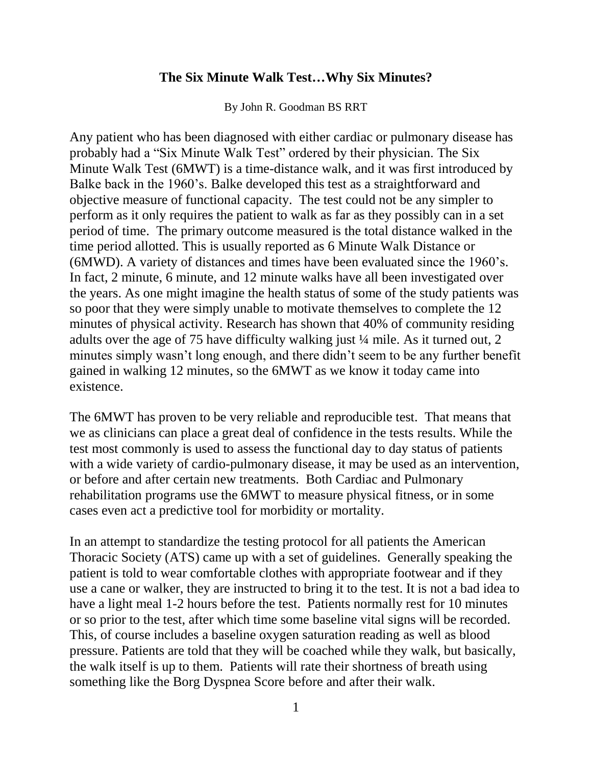## **The Six Minute Walk Test…Why Six Minutes?**

By John R. Goodman BS RRT

Any patient who has been diagnosed with either cardiac or pulmonary disease has probably had a "Six Minute Walk Test" ordered by their physician. The Six Minute Walk Test (6MWT) is a time-distance walk, and it was first introduced by Balke back in the 1960's. Balke developed this test as a straightforward and objective measure of functional capacity. The test could not be any simpler to perform as it only requires the patient to walk as far as they possibly can in a set period of time. The primary outcome measured is the total distance walked in the time period allotted. This is usually reported as 6 Minute Walk Distance or (6MWD). A variety of distances and times have been evaluated since the 1960's. In fact, 2 minute, 6 minute, and 12 minute walks have all been investigated over the years. As one might imagine the health status of some of the study patients was so poor that they were simply unable to motivate themselves to complete the 12 minutes of physical activity. Research has shown that 40% of community residing adults over the age of 75 have difficulty walking just ¼ mile. As it turned out, 2 minutes simply wasn't long enough, and there didn't seem to be any further benefit gained in walking 12 minutes, so the 6MWT as we know it today came into existence.

The 6MWT has proven to be very reliable and reproducible test. That means that we as clinicians can place a great deal of confidence in the tests results. While the test most commonly is used to assess the functional day to day status of patients with a wide variety of cardio-pulmonary disease, it may be used as an intervention, or before and after certain new treatments. Both Cardiac and Pulmonary rehabilitation programs use the 6MWT to measure physical fitness, or in some cases even act a predictive tool for morbidity or mortality.

In an attempt to standardize the testing protocol for all patients the American Thoracic Society (ATS) came up with a set of guidelines. Generally speaking the patient is told to wear comfortable clothes with appropriate footwear and if they use a cane or walker, they are instructed to bring it to the test. It is not a bad idea to have a light meal 1-2 hours before the test. Patients normally rest for 10 minutes or so prior to the test, after which time some baseline vital signs will be recorded. This, of course includes a baseline oxygen saturation reading as well as blood pressure. Patients are told that they will be coached while they walk, but basically, the walk itself is up to them. Patients will rate their shortness of breath using something like the Borg Dyspnea Score before and after their walk.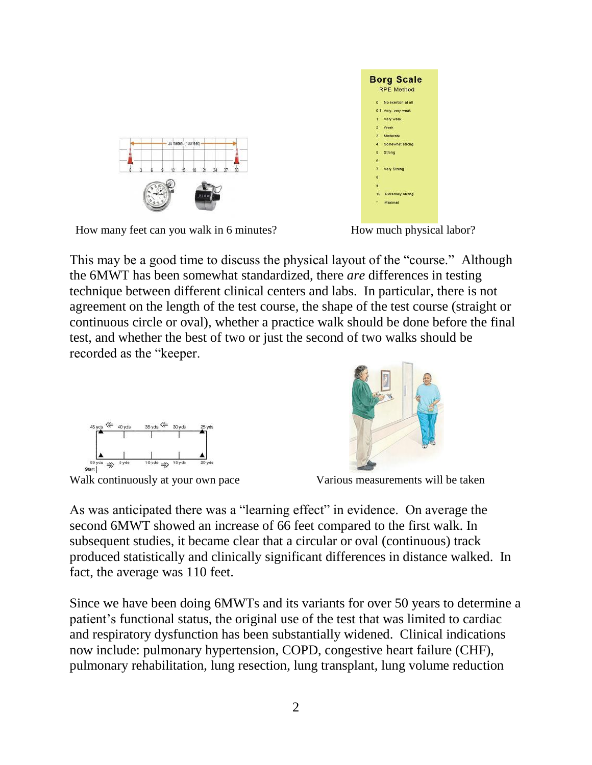Since we have been doing 6MWTs and its variants for over 50 years to determine a patient's functional status, the original use of the test that was limited to cardiac and respiratory dysfunction has been substantially widened. Clinical indications now include: pulmonary hypertension, COPD, congestive heart failure (CHF), pulmonary rehabilitation, lung resection, lung transplant, lung volume reduction

produced statistically and clinically significant differences in distance walked. In

As was anticipated there was a "learning effect" in evidence. On average the second 6MWT showed an increase of 66 feet compared to the first walk. In subsequent studies, it became clear that a circular or oval (continuous) track

Walk continuously at your own pace Various measurements will be taken

fact, the average was 110 feet.

This may be a good time to discuss the physical layout of the "course." Although the 6MWT has been somewhat standardized, there *are* differences in testing technique between different clinical centers and labs. In particular, there is not agreement on the length of the test course, the shape of the test course (straight or continuous circle or oval), whether a practice walk should be done before the final test, and whether the best of two or just the second of two walks should be recorded as the "keeper.

How many feet can you walk in 6 minutes? How much physical labor?



**Borg Scale RPE Method** 0.5 Very, very weak Very weak Somewhat strong Strong **Very Strong** Maximal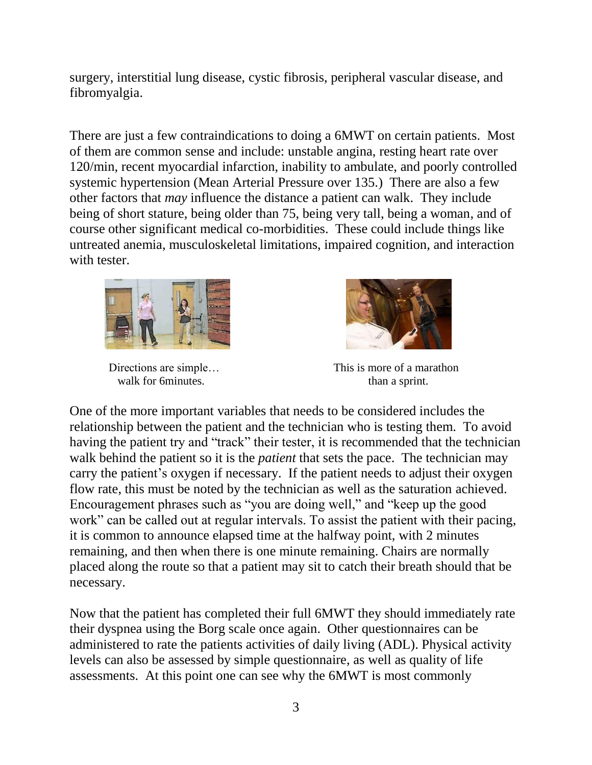surgery, interstitial lung disease, cystic fibrosis, peripheral vascular disease, and fibromyalgia.

There are just a few contraindications to doing a 6MWT on certain patients. Most of them are common sense and include: unstable angina, resting heart rate over 120/min, recent myocardial infarction, inability to ambulate, and poorly controlled systemic hypertension (Mean Arterial Pressure over 135.) There are also a few other factors that *may* influence the distance a patient can walk. They include being of short stature, being older than 75, being very tall, being a woman, and of course other significant medical co-morbidities. These could include things like untreated anemia, musculoskeletal limitations, impaired cognition, and interaction with tester.



walk for 6minutes. than a sprint.



Directions are simple... This is more of a marathon

One of the more important variables that needs to be considered includes the relationship between the patient and the technician who is testing them. To avoid having the patient try and "track" their tester, it is recommended that the technician walk behind the patient so it is the *patient* that sets the pace. The technician may carry the patient's oxygen if necessary. If the patient needs to adjust their oxygen flow rate, this must be noted by the technician as well as the saturation achieved. Encouragement phrases such as "you are doing well," and "keep up the good work" can be called out at regular intervals. To assist the patient with their pacing, it is common to announce elapsed time at the halfway point, with 2 minutes remaining, and then when there is one minute remaining. Chairs are normally placed along the route so that a patient may sit to catch their breath should that be necessary.

Now that the patient has completed their full 6MWT they should immediately rate their dyspnea using the Borg scale once again. Other questionnaires can be administered to rate the patients activities of daily living (ADL). Physical activity levels can also be assessed by simple questionnaire, as well as quality of life assessments. At this point one can see why the 6MWT is most commonly